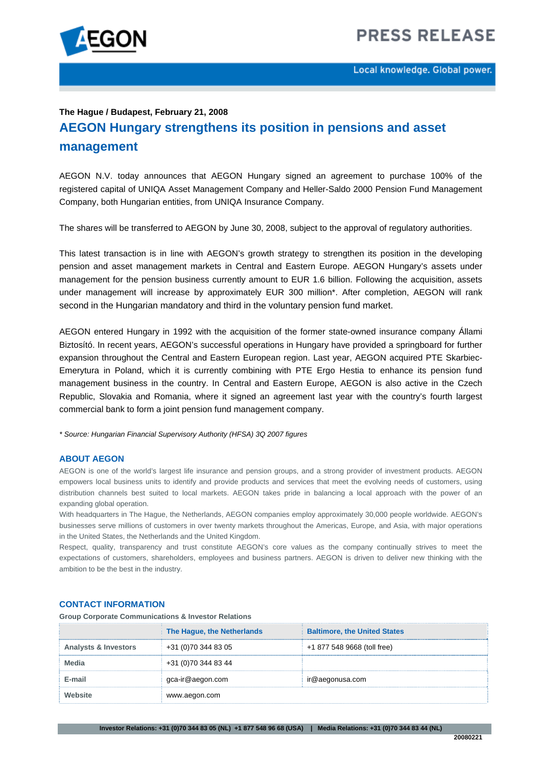

## **The Hague / Budapest, February 21, 2008 AEGON Hungary strengthens its position in pensions and asset management**

AEGON N.V. today announces that AEGON Hungary signed an agreement to purchase 100% of the registered capital of UNIQA Asset Management Company and Heller-Saldo 2000 Pension Fund Management Company, both Hungarian entities, from UNIQA Insurance Company.

The shares will be transferred to AEGON by June 30, 2008, subject to the approval of regulatory authorities.

This latest transaction is in line with AEGON's growth strategy to strengthen its position in the developing pension and asset management markets in Central and Eastern Europe. AEGON Hungary's assets under management for the pension business currently amount to EUR 1.6 billion. Following the acquisition, assets under management will increase by approximately EUR 300 million\*. After completion, AEGON will rank second in the Hungarian mandatory and third in the voluntary pension fund market.

AEGON entered Hungary in 1992 with the acquisition of the former state-owned insurance company Állami Biztosító. In recent years, AEGON's successful operations in Hungary have provided a springboard for further expansion throughout the Central and Eastern European region. Last year, AEGON acquired PTE Skarbiec-Emerytura in Poland, which it is currently combining with PTE Ergo Hestia to enhance its pension fund management business in the country. In Central and Eastern Europe, AEGON is also active in the Czech Republic, Slovakia and Romania, where it signed an agreement last year with the country's fourth largest commercial bank to form a joint pension fund management company.

*\* Source: Hungarian Financial Supervisory Authority (HFSA) 3Q 2007 figures* 

## **ABOUT AEGON**

AEGON is one of the world's largest life insurance and pension groups, and a strong provider of investment products. AEGON empowers local business units to identify and provide products and services that meet the evolving needs of customers, using distribution channels best suited to local markets. AEGON takes pride in balancing a local approach with the power of an expanding global operation.

With headquarters in The Hague, the Netherlands, AEGON companies employ approximately 30,000 people worldwide. AEGON's businesses serve millions of customers in over twenty markets throughout the Americas, Europe, and Asia, with major operations in the United States, the Netherlands and the United Kingdom.

Respect, quality, transparency and trust constitute AEGON's core values as the company continually strives to meet the expectations of customers, shareholders, employees and business partners. AEGON is driven to deliver new thinking with the ambition to be the best in the industry.

## **CONTACT INFORMATION**

**Group Corporate Communications & Investor Relations** 

|                                 | The Haque, the Netherlands | <b>Baltimore, the United States</b> |
|---------------------------------|----------------------------|-------------------------------------|
| <b>Analysts &amp; Investors</b> | +31 (0)70 344 83 05        | +1 877 548 9668 (toll free)         |
| Media                           | +31 (0)70 344 83 44        |                                     |
| E-mail                          | gca-ir@aegon.com           | ir@aegonusa.com                     |
| Website                         | www.aegon.com              |                                     |

**Investor Relations: +31 (0)70 344 83 05 (NL) +1 877 548 96 68 (USA) | Media Relations: +31 (0)70 344 83 44 (NL)**